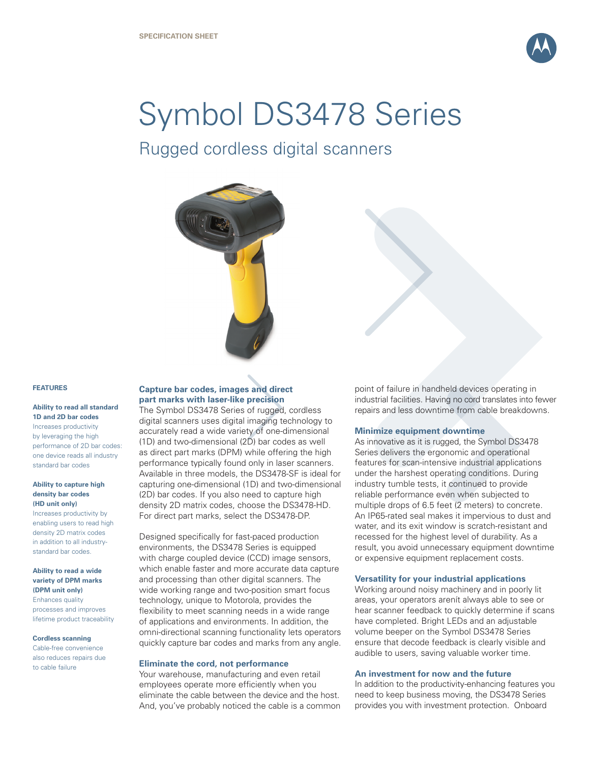

# Symbol DS3478 Series

Rugged cordless digital scanners



# **FEATURES**

## **Ability to read all standard 1D and 2D bar codes**

Increases productivity by leveraging the high performance of 2D bar codes: one device reads all industry standard bar codes

# **Ability to capture high density bar codes (HD unit only)**

Increases productivity by enabling users to read high density 2D matrix codes in addition to all industrystandard bar codes.

# **Ability to read a wide variety of DPM marks (DPM unit only)**

Enhances quality processes and improves lifetime product traceability

#### **Cordless scanning**

Cable-free convenience also reduces repairs due to cable failure

# **Capture bar codes, images and direct part marks with laser-like precision**

The Symbol DS3478 Series of rugged, cordless digital scanners uses digital imaging technology to accurately read a wide variety of one-dimensional (1D) and two-dimensional (2D) bar codes as well as direct part marks (DPM) while offering the high performance typically found only in laser scanners. Available in three models, the DS3478-SF is ideal for capturing one-dimensional (1D) and two-dimensional (2D) bar codes. If you also need to capture high density 2D matrix codes, choose the DS3478-HD. For direct part marks, select the DS3478-DP.

Designed specifically for fast-paced production environments, the DS3478 Series is equipped with charge coupled device (CCD) image sensors, which enable faster and more accurate data capture and processing than other digital scanners. The wide working range and two-position smart focus technology, unique to Motorola, provides the flexibility to meet scanning needs in a wide range of applications and environments. In addition, the omni-directional scanning functionality lets operators quickly capture bar codes and marks from any angle.

# **Eliminate the cord, not performance**

Your warehouse, manufacturing and even retail employees operate more efficiently when you eliminate the cable between the device and the host. And, you've probably noticed the cable is a common point of failure in handheld devices operating in industrial facilities. Having no cord translates into fewer repairs and less downtime from cable breakdowns.

# **Minimize equipment downtime**

As innovative as it is rugged, the Symbol DS3478 Series delivers the ergonomic and operational features for scan-intensive industrial applications under the harshest operating conditions. During industry tumble tests, it continued to provide reliable performance even when subjected to multiple drops of 6.5 feet (2 meters) to concrete. An IP65-rated seal makes it impervious to dust and water, and its exit window is scratch-resistant and recessed for the highest level of durability. As a result, you avoid unnecessary equipment downtime or expensive equipment replacement costs.

# **Versatility for your industrial applications**

Working around noisy machinery and in poorly lit areas, your operators arenít always able to see or hear scanner feedback to quickly determine if scans have completed. Bright LEDs and an adjustable volume beeper on the Symbol DS3478 Series ensure that decode feedback is clearly visible and audible to users, saving valuable worker time.

# **An investment for now and the future**

In addition to the productivity-enhancing features you need to keep business moving, the DS3478 Series provides you with investment protection. Onboard